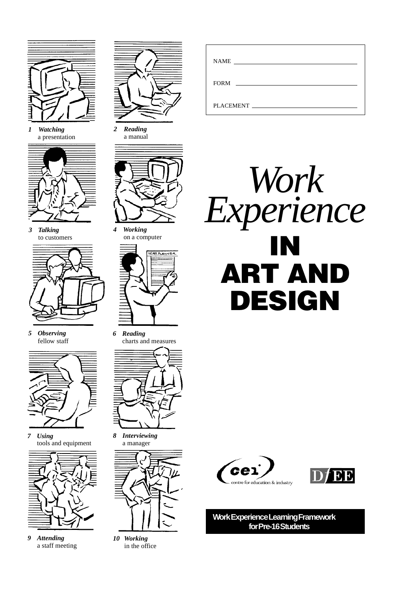

*1 Watching* a presentation



*3 Talking* to customers



*5 Observing* fellow staff



*7 Using* tools and equipment



*9 Attending* a staff meeting



*2 Reading* a manual



*4 Working* on a computer



*6 Reading* charts and measures



*8 Interviewing* a manager



*10 Working* in the office

| $FORM \_$                                                                                                       |
|-----------------------------------------------------------------------------------------------------------------|
| PLACEMENT FOR THE STATE OF THE STATE OF THE STATE OF THE STATE OF THE STATE OF THE STATE OF THE STATE OF THE ST |







**Work Experience Learning Framework for Pre-16 Students**